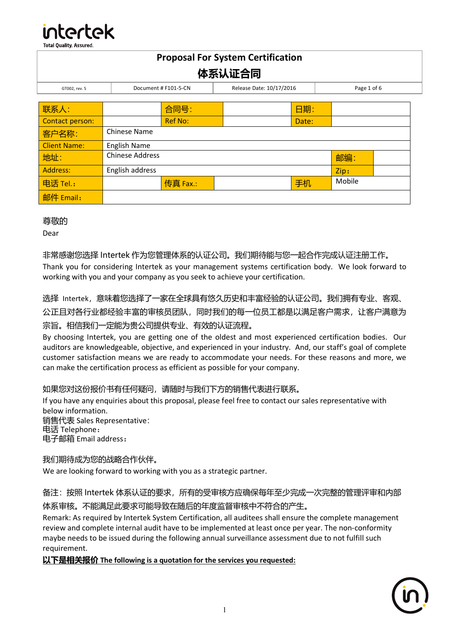

| <b>Proposal For System Certification</b> |                        |                      |                          |       |             |  |
|------------------------------------------|------------------------|----------------------|--------------------------|-------|-------------|--|
| 体系认证合同                                   |                        |                      |                          |       |             |  |
| GT002, rev. 5                            |                        | Document # F101-5-CN | Release Date: 10/17/2016 |       | Page 1 of 6 |  |
|                                          |                        |                      |                          |       |             |  |
| 联系人:                                     |                        | 合同号:                 |                          | 日期:   |             |  |
| Contact person:                          |                        | <b>Ref No:</b>       |                          | Date: |             |  |
| 客户名称:                                    | Chinese Name           |                      |                          |       |             |  |
| <b>Client Name:</b>                      | <b>English Name</b>    |                      |                          |       |             |  |
| 地址:                                      | <b>Chinese Address</b> |                      |                          |       | 邮编:         |  |
| <b>Address:</b>                          | English address        |                      |                          |       | Zip:        |  |
| 电话 Tel.:                                 |                        | 传真 Fax.:             |                          | 手机    | Mobile      |  |
| 邮件 Email:                                |                        |                      |                          |       |             |  |

## 尊敬的

Dear

# 非常感谢您选择 Intertek 作为您管理体系的认证公司。我们期待能与您一起合作完成认证注册工作。

Thank you for considering Intertek as your management systems certification body. We look forward to working with you and your company as you seek to achieve your certification.

## 选择 Intertek, 意味着您选择了一家在全球具有悠久历史和丰富经验的认证公司。我们拥有专业、客观、

公正且对各行业都经验丰富的审核员团队,同时我们的每一位员工都是以满足客户需求,让客户满意为 宗旨。相信我们一定能为贵公司提供专业、有效的认证流程。

By choosing Intertek, you are getting one of the oldest and most experienced certification bodies. Our auditors are knowledgeable, objective, and experienced in your industry. And, our staff's goal of complete customer satisfaction means we are ready to accommodate your needs. For these reasons and more, we can make the certification process as efficient as possible for your company.

# 如果您对这份报价书有任何疑问,请随时与我们下方的销售代表进行联系。

If you have any enquiries about this proposal, please feel free to contact our sales representative with below information. 销售代表 Sales Representative:

电话 Telephone:

电子邮箱 Email address:

# 我们期待成为您的战略合作伙伴。

We are looking forward to working with you as a strategic partner.

# 备注: 按照 Intertek 体系认证的要求, 所有的受审核方应确保每年至少完成一次完整的管理评审和内部

体系审核。不能满足此要求可能导致在随后的年度监督审核中不符合的产生。

Remark: As required by Intertek System Certification, all auditees shall ensure the complete management review and complete internal audit have to be implemented at least once per year. The non-conformity maybe needs to be issued during the following annual surveillance assessment due to not fulfill such requirement.

## 以下是相关报价 **The following is a quotation for the services you requested:**

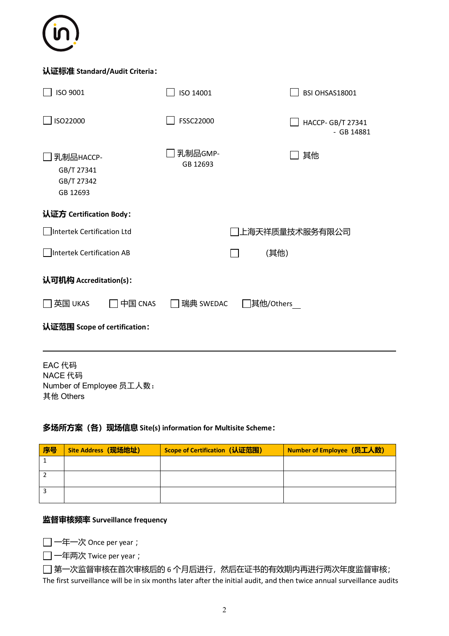

## 认证标准 **Standard/Audit Criteria**:

| ISO 9001                                          | ISO 14001           |      | BSI OHSAS18001                    |  |
|---------------------------------------------------|---------------------|------|-----------------------------------|--|
| ISO22000                                          | FSSC22000           |      | HACCP- GB/T 27341<br>$-$ GB 14881 |  |
| 乳制品HACCP-<br>GB/T 27341<br>GB/T 27342<br>GB 12693 | 乳制品GMP-<br>GB 12693 |      | 其他                                |  |
| 认证方 Certification Body:                           |                     |      |                                   |  |
| Intertek Certification Ltd                        |                     |      | 上海天祥质量技术服务有限公司                    |  |
| Intertek Certification AB                         |                     | (其他) |                                   |  |
| 认可机构 Accreditation(s):                            |                     |      |                                   |  |
| 中国 CNAS<br>瑞典 SWEDAC<br>]其他/Others<br>英国 UKAS     |                     |      |                                   |  |
| 认证范围 Scope of certification:                      |                     |      |                                   |  |
|                                                   |                     |      |                                   |  |

EAC 代码 NACE 代码 Number of Employee 员工人数: 其他 Others

#### 多场所方案(各)现场信息 **Site(s) information for Multisite Scheme**:

| 序号 | Site Address (现场地址) | Scope of Certification (认证范围) | <b>Number of Employee (员工人数)</b> |
|----|---------------------|-------------------------------|----------------------------------|
|    |                     |                               |                                  |
|    |                     |                               |                                  |
|    |                     |                               |                                  |

## 监督审核频率 **Surveillance frequency**

一年一次 Once per year ;

一年两次 Twice per year ;

 $\Box$  第一次监督审核在首次审核后的 6 个月后进行, 然后在证书的有效期内再进行两次年度监督审核; The first surveillance will be in six months later after the initial audit, and then twice annual surveillance audits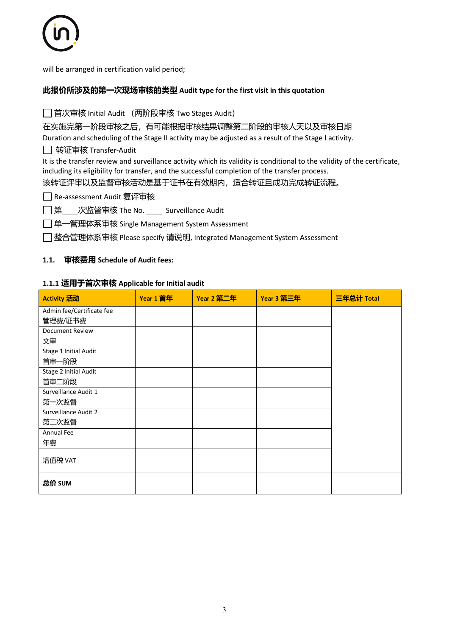

will be arranged in certification valid period;

#### 此报价所涉及的第一次现场审核的类型 **Audit type for the first visit in this quotation**

□ 首次审核 Initial Audit (两阶段审核 Two Stages Audit)

在实施完第一阶段审核之后,有可能根据审核结果调整第二阶段的审核人天以及审核日期

Duration and scheduling of the Stage II activity may be adjusted as a result of the Stage I activity.

转证审核 Transfer-Audit

It is the transfer review and surveillance activity which its validity is conditional to the validity of the certificate, including its eligibility for transfer, and the successful completion of the transfer process.

该转证评审以及监督审核活动是基于证书在有效期内,适合转证且成功完成转证流程。

Re-assessment Audit 复评审核

□ 第 次监督审核 The No. 22 Surveillance Audit

单一管理体系审核 Single Management System Assessment

整合管理体系审核 Please specify 请说明, Integrated Management System Assessment

#### **1.1.** 审核费用 **Schedule of Audit fees:**

#### **1.1.1** 适用于首次审核 **Applicable for Initial audit**

| Activity 活动               | Year 1 首年 | Year 2 第二年 | Year 3 第三年 | 三年总计 Total |
|---------------------------|-----------|------------|------------|------------|
| Admin fee/Certificate fee |           |            |            |            |
| 管理费/证书费                   |           |            |            |            |
| <b>Document Review</b>    |           |            |            |            |
| 文审                        |           |            |            |            |
| Stage 1 Initial Audit     |           |            |            |            |
| 首审一阶段                     |           |            |            |            |
| Stage 2 Initial Audit     |           |            |            |            |
| 首审二阶段                     |           |            |            |            |
| Surveillance Audit 1      |           |            |            |            |
| 第一次监督                     |           |            |            |            |
| Surveillance Audit 2      |           |            |            |            |
| 第二次监督                     |           |            |            |            |
| Annual Fee                |           |            |            |            |
| 年费                        |           |            |            |            |
| 增值税 VAT                   |           |            |            |            |
| 总价 SUM                    |           |            |            |            |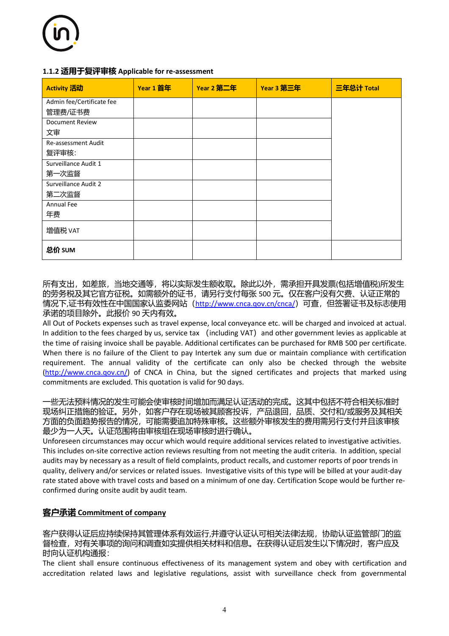#### **1.1.2** 适用于复评审核 **Applicable for re-assessment**

| Activity 活动               | Year 1 首年 | Year 2 第二年 | Year 3 第三年 | 三年总计 Total |
|---------------------------|-----------|------------|------------|------------|
| Admin fee/Certificate fee |           |            |            |            |
| 管理费/证书费                   |           |            |            |            |
| <b>Document Review</b>    |           |            |            |            |
| 文审                        |           |            |            |            |
| Re-assessment Audit       |           |            |            |            |
| 复评审核:                     |           |            |            |            |
| Surveillance Audit 1      |           |            |            |            |
| 第一次监督                     |           |            |            |            |
| Surveillance Audit 2      |           |            |            |            |
| 第二次监督                     |           |            |            |            |
| Annual Fee                |           |            |            |            |
| 年费                        |           |            |            |            |
| 增值税 VAT                   |           |            |            |            |
| 总价 SUM                    |           |            |            |            |

所有支出,如差旅,当地交通等,将以实际发生额收取。除此以外,需承担开具发票(包括增值税)所发生 的劳务税及其它官方征税。如需额外的证书,请另行支付每张 500 元。仅在客户没有欠费、认证正常的 情况下,证书有效性在中国国家认监委网站 (http://www.cnca.qov.cn/cnca/) 可查, 但签署证书及标志使用 承诺的项目除外。此报价 90 天内有效。

All Out of Pockets expenses such as travel expense, local conveyance etc. will be charged and invoiced at actual. In addition to the fees charged by us, service tax (including VAT) and other government levies as applicable at the time of raising invoice shall be payable. Additional certificates can be purchased for RMB 500 per certificate. When there is no failure of the Client to pay Intertek any sum due or maintain compliance with certification requirement. The annual validity of the certificate can only also be checked through the website (http://www.cnca.qov.cn/) of CNCA in China, but the signed certificates and projects that marked using commitments are excluded. This quotation is valid for 90 days.

一些无法预料情况的发生可能会使审核时间增加而满足认证活动的完成。这其中包括不符合相关标准时 现场纠正措施的验证。另外,如客户存在现场被其顾客投诉,产品退回,品质、交付和/或服务及其相关 方面的负面趋势报告的情况,可能需要追加特殊审核。这些额外审核发生的费用需另行支付并且该审核 最少为一人天。认证范围将由审核组在现场审核时进行确认。

Unforeseen circumstances may occur which would require additional services related to investigative activities. This includes on-site corrective action reviews resulting from not meeting the audit criteria. In addition, special audits may by necessary as a result of field complaints, product recalls, and customer reports of poor trends in quality, delivery and/or services or related issues. Investigative visits of this type will be billed at your audit-day rate stated above with travel costs and based on a minimum of one day. Certification Scope would be further reconfirmed during onsite audit by audit team.

# 客户承诺 **Commitment of company**

客户获得认证后应持续保持其管理体系有效运行,并遵守认证认可相关法律法规,协助认证监管部门的监 督检查,对有关事项的询问和调查如实提供相关材料和信息。在获得认证后发生以下情况时,客户应及 时向认证机构通报:

The client shall ensure continuous effectiveness of its management system and obey with certification and accreditation related laws and legislative regulations, assist with surveillance check from governmental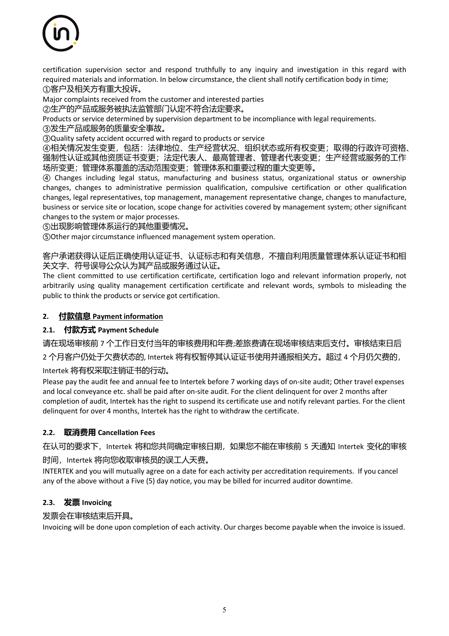

certification supervision sector and respond truthfully to any inquiry and investigation in this regard with required materials and information. In below circumstance, the client shall notify certification body in time; ①客户及相关方有重大投诉。

Major complaints received from the customer and interested parties

②生产的产品或服务被执法监管部门认定不符合法定要求。

Products or service determined by supervision department to be incompliance with legal requirements.

③发生产品或服务的质量安全事故。

③Quality safety accident occurred with regard to products or service

④相关情况发生变更,包括:法律地位、生产经营状况、组织状态或所有权变更;取得的行政许可资格、 强制性认证或其他资质证书变更;法定代表人、最高管理者、管理者代表变更;生产经营或服务的工作 场所变更;管理体系覆盖的活动范围变更;管理体系和重要过程的重大变更等。

④ Changes including legal status, manufacturing and business status, organizational status or ownership changes, changes to administrative permission qualification, compulsive certification or other qualification changes, legal representatives, top management, management representative change, changes to manufacture, business or service site or location, scope change for activities covered by management system; other significant changes to the system or major processes.

⑤出现影响管理体系运行的其他重要情况。

⑤Other major circumstance influenced management system operation.

客户承诺获得认证后正确使用认证证书、认证标志和有关信息,不擅自利用质量管理体系认证证书和相 关文字、符号误导公众认为其产品或服务通过认证。

The client committed to use certification certificate, certification logo and relevant information properly, not arbitrarily using quality management certification certificate and relevant words, symbols to misleading the public to think the products or service got certification.

## **2.** 付款信息 **Payment information**

#### **2.1.** 付款方式 **Payment Schedule**

请在现场审核前 7 个工作日支付当年的审核费用和年费;差旅费请在现场审核结束后支付。审核结束日后

2 个月客户仍处于欠费状态的, Intertek 将有权暂停其认证证书使用并通报相关方。超过 4 个月仍欠费的,

Intertek 将有权采取注销证书的行动。

Please pay the audit fee and annual fee to Intertek before 7 working days of on-site audit; Other travel expenses and local conveyance etc. shall be paid after on-site audit. For the client delinquent for over 2 months after completion of audit, Intertek has the right to suspend its certificate use and notify relevant parties. For the client delinquent for over 4 months, Intertek has the right to withdraw the certificate.

#### **2.2.** 取消费用 **Cancellation Fees**

在认可的要求下, Intertek 将和您共同确定审核日期, 如果您不能在审核前 5 天通知 Intertek 变化的审核

时间, Intertek 将向您收取审核员的误工人天费。

INTERTEK and you will mutually agree on a date for each activity per accreditation requirements. If you cancel any of the above without a Five (5) day notice, you may be billed for incurred auditor downtime.

#### **2.3.** 发票 **Invoicing**

#### 发票会在审核结束后开具。

Invoicing will be done upon completion of each activity. Our charges become payable when the invoice is issued.